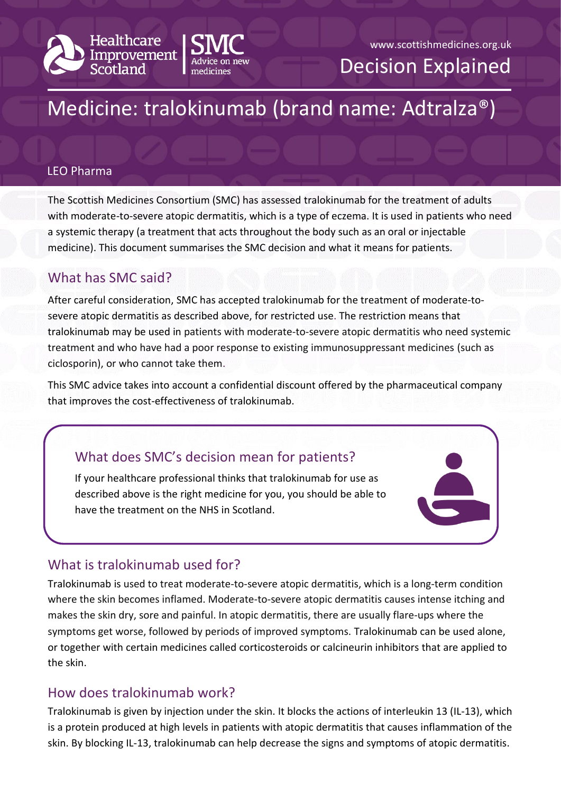



# www.scottishmedicines.org.uk Decision Explained

# Medicine: tralokinumab (brand name: Adtralza®)

#### LEO Pharma

The Scottish Medicines Consortium (SMC) has assessed tralokinumab for the treatment of adults with moderate-to-severe atopic dermatitis, which is a type of eczema. It is used in patients who need a systemic therapy (a treatment that acts throughout the body such as an oral or injectable medicine). This document summarises the SMC decision and what it means for patients.

#### What has SMC said?

After careful consideration, SMC has accepted tralokinumab for the treatment of moderate-tosevere atopic dermatitis as described above, for restricted use. The restriction means that tralokinumab may be used in patients with moderate-to-severe atopic dermatitis who need systemic treatment and who have had a poor response to existing immunosuppressant medicines (such as ciclosporin), or who cannot take them.

This SMC advice takes into account a confidential discount offered by the pharmaceutical company that improves the cost-effectiveness of tralokinumab.

## What does SMC's decision mean for patients?

If your healthcare professional thinks that tralokinumab for use as described above is the right medicine for you, you should be able to have the treatment on the NHS in Scotland.

## What is tralokinumab used for?

Tralokinumab is used to treat moderate-to-severe atopic dermatitis, which is a long-term condition where the skin becomes inflamed. Moderate-to-severe atopic dermatitis causes intense itching and makes the skin dry, sore and painful. In atopic dermatitis, there are usually flare-ups where the symptoms get worse, followed by periods of improved symptoms. Tralokinumab can be used alone, or together with certain medicines called corticosteroids or calcineurin inhibitors that are applied to the skin.

#### How does tralokinumab work?

Tralokinumab is given by injection under the skin. It blocks the actions of interleukin 13 (IL-13), which is a protein produced at high levels in patients with atopic dermatitis that causes inflammation of the skin. By blocking IL-13, tralokinumab can help decrease the signs and symptoms of atopic dermatitis.